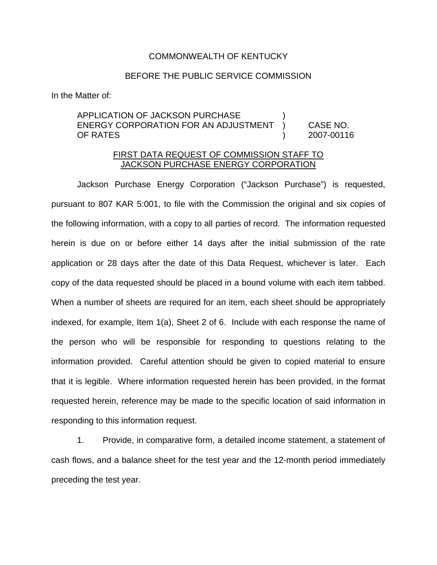## COMMONWEALTH OF KENTUCKY

## BEFORE THE PUBLIC SERVICE COMMISSION

In the Matter of:

APPLICATION OF JACKSON PURCHASE ) ENERGY CORPORATION FOR AN ADJUSTMENT ) CASE NO. OF RATES ) 2007-00116

# FIRST DATA REQUEST OF COMMISSION STAFF TO JACKSON PURCHASE ENERGY CORPORATION

Jackson Purchase Energy Corporation ("Jackson Purchase") is requested, pursuant to 807 KAR 5:001, to file with the Commission the original and six copies of the following information, with a copy to all parties of record. The information requested herein is due on or before either 14 days after the initial submission of the rate application or 28 days after the date of this Data Request, whichever is later. Each copy of the data requested should be placed in a bound volume with each item tabbed. When a number of sheets are required for an item, each sheet should be appropriately indexed, for example, Item 1(a), Sheet 2 of 6. Include with each response the name of the person who will be responsible for responding to questions relating to the information provided. Careful attention should be given to copied material to ensure that it is legible. Where information requested herein has been provided, in the format requested herein, reference may be made to the specific location of said information in responding to this information request.

1. Provide, in comparative form, a detailed income statement, a statement of cash flows, and a balance sheet for the test year and the 12-month period immediately preceding the test year.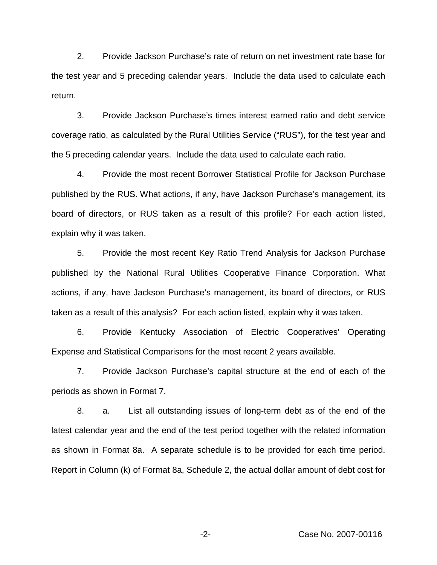2. Provide Jackson Purchase's rate of return on net investment rate base for the test year and 5 preceding calendar years. Include the data used to calculate each return.

3. Provide Jackson Purchase's times interest earned ratio and debt service coverage ratio, as calculated by the Rural Utilities Service ("RUS"), for the test year and the 5 preceding calendar years. Include the data used to calculate each ratio.

4. Provide the most recent Borrower Statistical Profile for Jackson Purchase published by the RUS. What actions, if any, have Jackson Purchase's management, its board of directors, or RUS taken as a result of this profile? For each action listed, explain why it was taken.

5. Provide the most recent Key Ratio Trend Analysis for Jackson Purchase published by the National Rural Utilities Cooperative Finance Corporation. What actions, if any, have Jackson Purchase's management, its board of directors, or RUS taken as a result of this analysis? For each action listed, explain why it was taken.

6. Provide Kentucky Association of Electric Cooperatives' Operating Expense and Statistical Comparisons for the most recent 2 years available.

7. Provide Jackson Purchase's capital structure at the end of each of the periods as shown in Format 7.

8. a. List all outstanding issues of long-term debt as of the end of the latest calendar year and the end of the test period together with the related information as shown in Format 8a. A separate schedule is to be provided for each time period. Report in Column (k) of Format 8a, Schedule 2, the actual dollar amount of debt cost for

-2- Case No. 2007-00116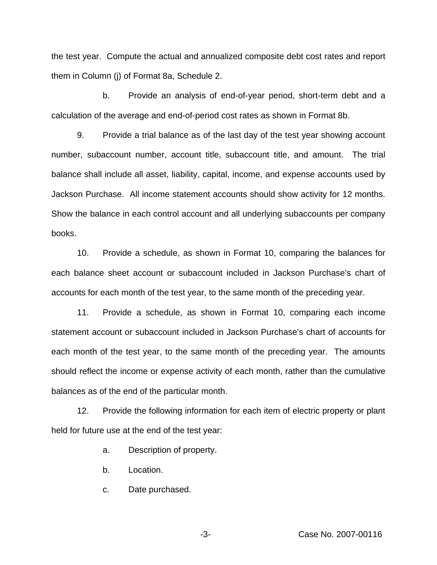the test year. Compute the actual and annualized composite debt cost rates and report them in Column (j) of Format 8a, Schedule 2.

b. Provide an analysis of end-of-year period, short-term debt and a calculation of the average and end-of-period cost rates as shown in Format 8b.

9. Provide a trial balance as of the last day of the test year showing account number, subaccount number, account title, subaccount title, and amount. The trial balance shall include all asset, liability, capital, income, and expense accounts used by Jackson Purchase. All income statement accounts should show activity for 12 months. Show the balance in each control account and all underlying subaccounts per company books.

10. Provide a schedule, as shown in Format 10, comparing the balances for each balance sheet account or subaccount included in Jackson Purchase's chart of accounts for each month of the test year, to the same month of the preceding year.

11. Provide a schedule, as shown in Format 10, comparing each income statement account or subaccount included in Jackson Purchase's chart of accounts for each month of the test year, to the same month of the preceding year. The amounts should reflect the income or expense activity of each month, rather than the cumulative balances as of the end of the particular month.

12. Provide the following information for each item of electric property or plant held for future use at the end of the test year:

a. Description of property.

- b. Location.
- c. Date purchased.

-3- Case No. 2007-00116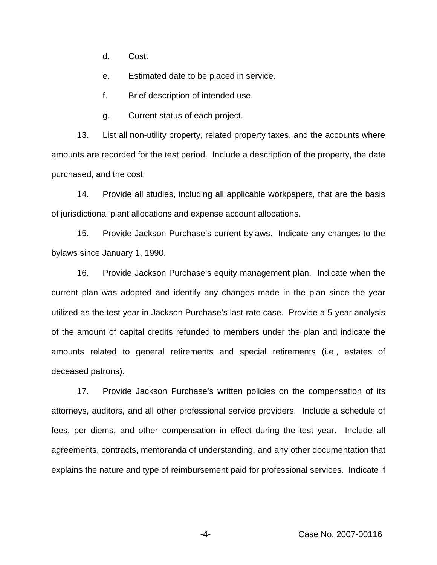d. Cost.

e. Estimated date to be placed in service.

f. Brief description of intended use.

g. Current status of each project.

13. List all non-utility property, related property taxes, and the accounts where amounts are recorded for the test period. Include a description of the property, the date purchased, and the cost.

14. Provide all studies, including all applicable workpapers, that are the basis of jurisdictional plant allocations and expense account allocations.

15. Provide Jackson Purchase's current bylaws. Indicate any changes to the bylaws since January 1, 1990.

16. Provide Jackson Purchase's equity management plan. Indicate when the current plan was adopted and identify any changes made in the plan since the year utilized as the test year in Jackson Purchase's last rate case. Provide a 5-year analysis of the amount of capital credits refunded to members under the plan and indicate the amounts related to general retirements and special retirements (i.e., estates of deceased patrons).

17. Provide Jackson Purchase's written policies on the compensation of its attorneys, auditors, and all other professional service providers. Include a schedule of fees, per diems, and other compensation in effect during the test year. Include all agreements, contracts, memoranda of understanding, and any other documentation that explains the nature and type of reimbursement paid for professional services. Indicate if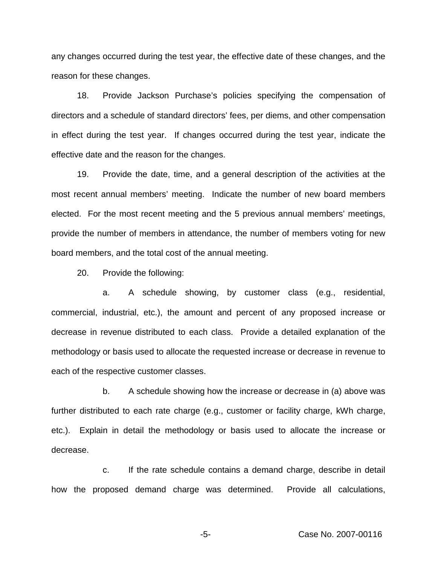any changes occurred during the test year, the effective date of these changes, and the reason for these changes.

18. Provide Jackson Purchase's policies specifying the compensation of directors and a schedule of standard directors' fees, per diems, and other compensation in effect during the test year. If changes occurred during the test year, indicate the effective date and the reason for the changes.

19. Provide the date, time, and a general description of the activities at the most recent annual members' meeting. Indicate the number of new board members elected. For the most recent meeting and the 5 previous annual members' meetings, provide the number of members in attendance, the number of members voting for new board members, and the total cost of the annual meeting.

20. Provide the following:

a. A schedule showing, by customer class (e.g., residential, commercial, industrial, etc.), the amount and percent of any proposed increase or decrease in revenue distributed to each class. Provide a detailed explanation of the methodology or basis used to allocate the requested increase or decrease in revenue to each of the respective customer classes.

b. A schedule showing how the increase or decrease in (a) above was further distributed to each rate charge (e.g., customer or facility charge, kWh charge, etc.). Explain in detail the methodology or basis used to allocate the increase or decrease.

c. If the rate schedule contains a demand charge, describe in detail how the proposed demand charge was determined. Provide all calculations,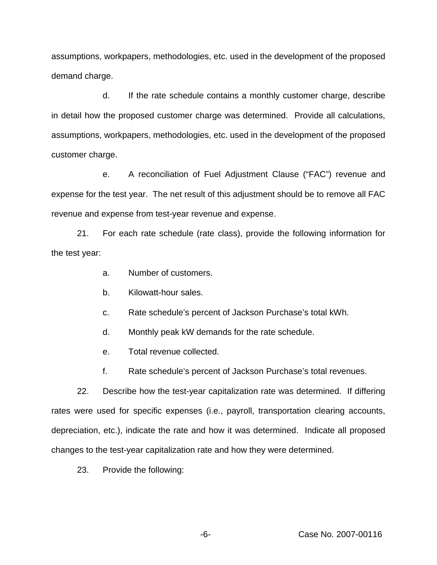assumptions, workpapers, methodologies, etc. used in the development of the proposed demand charge.

d. If the rate schedule contains a monthly customer charge, describe in detail how the proposed customer charge was determined. Provide all calculations, assumptions, workpapers, methodologies, etc. used in the development of the proposed customer charge.

e. A reconciliation of Fuel Adjustment Clause ("FAC") revenue and expense for the test year. The net result of this adjustment should be to remove all FAC revenue and expense from test-year revenue and expense.

21. For each rate schedule (rate class), provide the following information for the test year:

- a. Number of customers.
- b. Kilowatt-hour sales.
- c. Rate schedule's percent of Jackson Purchase's total kWh.
- d. Monthly peak kW demands for the rate schedule.
- e. Total revenue collected.
- f. Rate schedule's percent of Jackson Purchase's total revenues.

22. Describe how the test-year capitalization rate was determined. If differing rates were used for specific expenses (i.e., payroll, transportation clearing accounts, depreciation, etc.), indicate the rate and how it was determined. Indicate all proposed changes to the test-year capitalization rate and how they were determined.

23. Provide the following: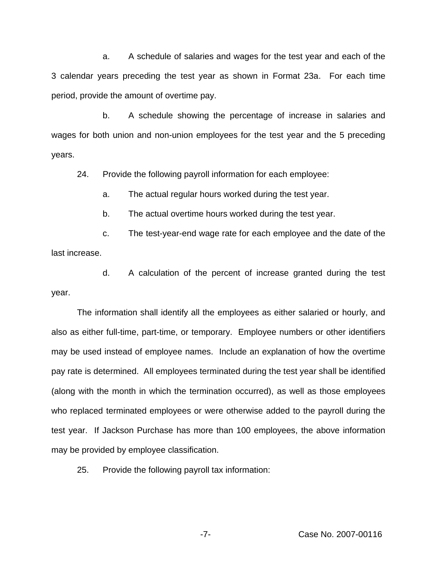a. A schedule of salaries and wages for the test year and each of the 3 calendar years preceding the test year as shown in Format 23a. For each time period, provide the amount of overtime pay.

b. A schedule showing the percentage of increase in salaries and wages for both union and non-union employees for the test year and the 5 preceding years.

24. Provide the following payroll information for each employee:

a. The actual regular hours worked during the test year.

b. The actual overtime hours worked during the test year.

c. The test-year-end wage rate for each employee and the date of the last increase.

d. A calculation of the percent of increase granted during the test year.

The information shall identify all the employees as either salaried or hourly, and also as either full-time, part-time, or temporary. Employee numbers or other identifiers may be used instead of employee names. Include an explanation of how the overtime pay rate is determined. All employees terminated during the test year shall be identified (along with the month in which the termination occurred), as well as those employees who replaced terminated employees or were otherwise added to the payroll during the test year. If Jackson Purchase has more than 100 employees, the above information may be provided by employee classification.

25. Provide the following payroll tax information:

-7- Case No. 2007-00116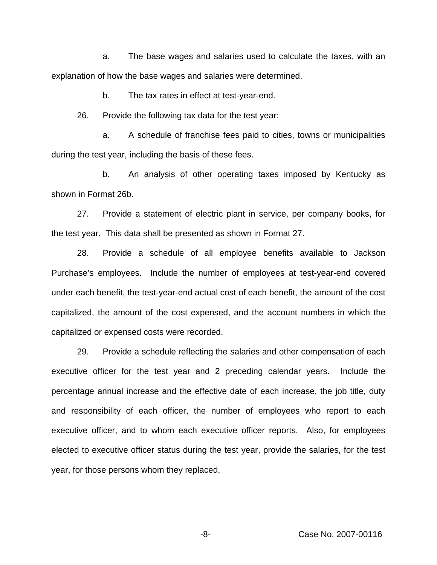a. The base wages and salaries used to calculate the taxes, with an explanation of how the base wages and salaries were determined.

b. The tax rates in effect at test-year-end.

26. Provide the following tax data for the test year:

a. A schedule of franchise fees paid to cities, towns or municipalities during the test year, including the basis of these fees.

b. An analysis of other operating taxes imposed by Kentucky as shown in Format 26b.

27. Provide a statement of electric plant in service, per company books, for the test year. This data shall be presented as shown in Format 27.

28. Provide a schedule of all employee benefits available to Jackson Purchase's employees. Include the number of employees at test-year-end covered under each benefit, the test-year-end actual cost of each benefit, the amount of the cost capitalized, the amount of the cost expensed, and the account numbers in which the capitalized or expensed costs were recorded.

29. Provide a schedule reflecting the salaries and other compensation of each executive officer for the test year and 2 preceding calendar years. Include the percentage annual increase and the effective date of each increase, the job title, duty and responsibility of each officer, the number of employees who report to each executive officer, and to whom each executive officer reports. Also, for employees elected to executive officer status during the test year, provide the salaries, for the test year, for those persons whom they replaced.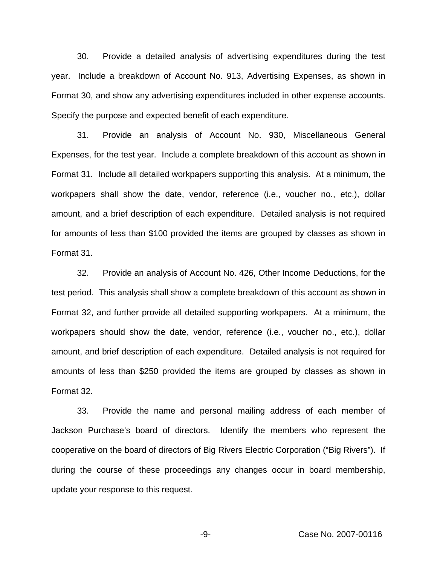30. Provide a detailed analysis of advertising expenditures during the test year. Include a breakdown of Account No. 913, Advertising Expenses, as shown in Format 30, and show any advertising expenditures included in other expense accounts. Specify the purpose and expected benefit of each expenditure.

31. Provide an analysis of Account No. 930, Miscellaneous General Expenses, for the test year. Include a complete breakdown of this account as shown in Format 31. Include all detailed workpapers supporting this analysis. At a minimum, the workpapers shall show the date, vendor, reference (i.e., voucher no., etc.), dollar amount, and a brief description of each expenditure. Detailed analysis is not required for amounts of less than \$100 provided the items are grouped by classes as shown in Format 31.

32. Provide an analysis of Account No. 426, Other Income Deductions, for the test period. This analysis shall show a complete breakdown of this account as shown in Format 32, and further provide all detailed supporting workpapers. At a minimum, the workpapers should show the date, vendor, reference (i.e., voucher no., etc.), dollar amount, and brief description of each expenditure. Detailed analysis is not required for amounts of less than \$250 provided the items are grouped by classes as shown in Format 32.

33. Provide the name and personal mailing address of each member of Jackson Purchase's board of directors. Identify the members who represent the cooperative on the board of directors of Big Rivers Electric Corporation ("Big Rivers"). If during the course of these proceedings any changes occur in board membership, update your response to this request.

-9- Case No. 2007-00116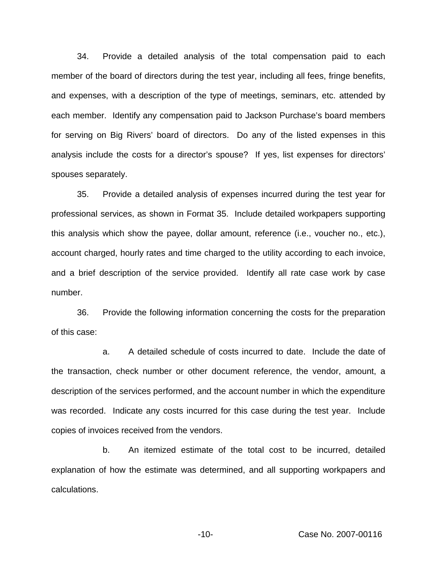34. Provide a detailed analysis of the total compensation paid to each member of the board of directors during the test year, including all fees, fringe benefits, and expenses, with a description of the type of meetings, seminars, etc. attended by each member. Identify any compensation paid to Jackson Purchase's board members for serving on Big Rivers' board of directors. Do any of the listed expenses in this analysis include the costs for a director's spouse? If yes, list expenses for directors' spouses separately.

35. Provide a detailed analysis of expenses incurred during the test year for professional services, as shown in Format 35. Include detailed workpapers supporting this analysis which show the payee, dollar amount, reference (i.e., voucher no., etc.), account charged, hourly rates and time charged to the utility according to each invoice, and a brief description of the service provided. Identify all rate case work by case number.

36. Provide the following information concerning the costs for the preparation of this case:

a. A detailed schedule of costs incurred to date. Include the date of the transaction, check number or other document reference, the vendor, amount, a description of the services performed, and the account number in which the expenditure was recorded. Indicate any costs incurred for this case during the test year. Include copies of invoices received from the vendors.

b. An itemized estimate of the total cost to be incurred, detailed explanation of how the estimate was determined, and all supporting workpapers and calculations.

-10- Case No. 2007-00116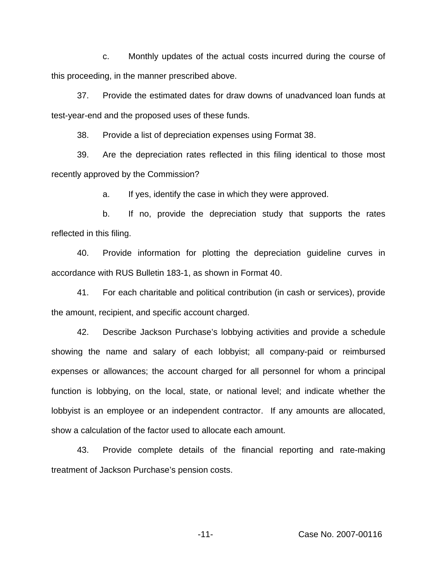c. Monthly updates of the actual costs incurred during the course of this proceeding, in the manner prescribed above.

37. Provide the estimated dates for draw downs of unadvanced loan funds at test-year-end and the proposed uses of these funds.

38. Provide a list of depreciation expenses using Format 38.

39. Are the depreciation rates reflected in this filing identical to those most recently approved by the Commission?

a. If yes, identify the case in which they were approved.

b. If no, provide the depreciation study that supports the rates reflected in this filing.

40. Provide information for plotting the depreciation guideline curves in accordance with RUS Bulletin 183-1, as shown in Format 40.

41. For each charitable and political contribution (in cash or services), provide the amount, recipient, and specific account charged.

42. Describe Jackson Purchase's lobbying activities and provide a schedule showing the name and salary of each lobbyist; all company-paid or reimbursed expenses or allowances; the account charged for all personnel for whom a principal function is lobbying, on the local, state, or national level; and indicate whether the lobbyist is an employee or an independent contractor. If any amounts are allocated, show a calculation of the factor used to allocate each amount.

43. Provide complete details of the financial reporting and rate-making treatment of Jackson Purchase's pension costs.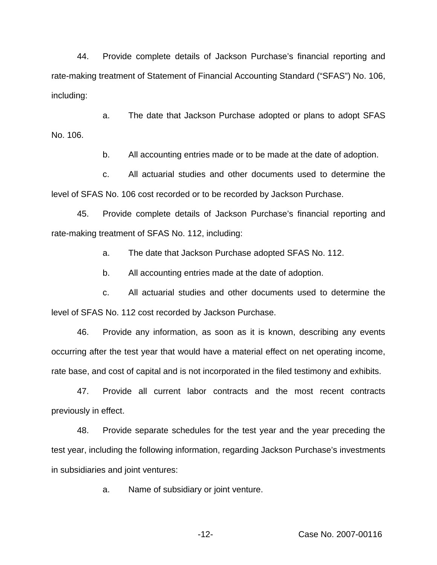44. Provide complete details of Jackson Purchase's financial reporting and rate-making treatment of Statement of Financial Accounting Standard ("SFAS") No. 106, including:

a. The date that Jackson Purchase adopted or plans to adopt SFAS No. 106.

b. All accounting entries made or to be made at the date of adoption.

c. All actuarial studies and other documents used to determine the level of SFAS No. 106 cost recorded or to be recorded by Jackson Purchase.

45. Provide complete details of Jackson Purchase's financial reporting and rate-making treatment of SFAS No. 112, including:

a. The date that Jackson Purchase adopted SFAS No. 112.

b. All accounting entries made at the date of adoption.

c. All actuarial studies and other documents used to determine the level of SFAS No. 112 cost recorded by Jackson Purchase.

46. Provide any information, as soon as it is known, describing any events occurring after the test year that would have a material effect on net operating income, rate base, and cost of capital and is not incorporated in the filed testimony and exhibits.

47. Provide all current labor contracts and the most recent contracts previously in effect.

48. Provide separate schedules for the test year and the year preceding the test year, including the following information, regarding Jackson Purchase's investments in subsidiaries and joint ventures:

a. Name of subsidiary or joint venture.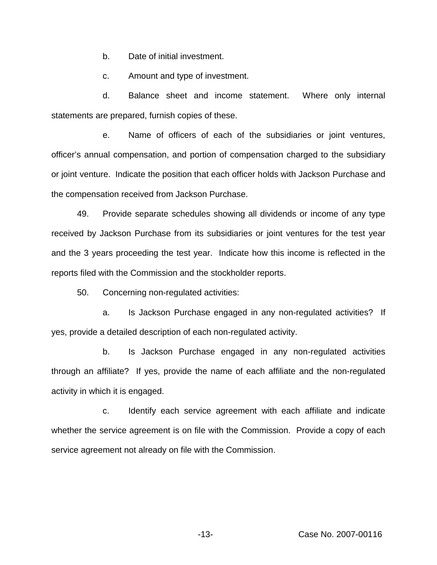b. Date of initial investment.

c. Amount and type of investment.

d. Balance sheet and income statement. Where only internal statements are prepared, furnish copies of these.

e. Name of officers of each of the subsidiaries or joint ventures, officer's annual compensation, and portion of compensation charged to the subsidiary or joint venture. Indicate the position that each officer holds with Jackson Purchase and the compensation received from Jackson Purchase.

49. Provide separate schedules showing all dividends or income of any type received by Jackson Purchase from its subsidiaries or joint ventures for the test year and the 3 years proceeding the test year. Indicate how this income is reflected in the reports filed with the Commission and the stockholder reports.

50. Concerning non-regulated activities:

a. Is Jackson Purchase engaged in any non-regulated activities? If yes, provide a detailed description of each non-regulated activity.

b. Is Jackson Purchase engaged in any non-regulated activities through an affiliate? If yes, provide the name of each affiliate and the non-regulated activity in which it is engaged.

c. Identify each service agreement with each affiliate and indicate whether the service agreement is on file with the Commission. Provide a copy of each service agreement not already on file with the Commission.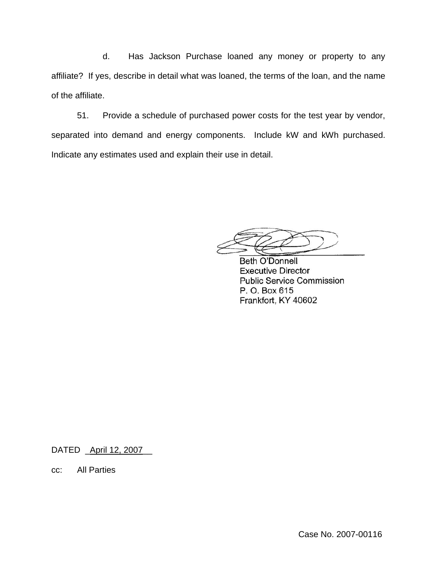d. Has Jackson Purchase loaned any money or property to any affiliate? If yes, describe in detail what was loaned, the terms of the loan, and the name of the affiliate.

51. Provide a schedule of purchased power costs for the test year by vendor, separated into demand and energy components. Include kW and kWh purchased. Indicate any estimates used and explain their use in detail.

**Beth O'Donnell Executive Director Public Service Commission** P. O. Box 615 Frankfort, KY 40602

DATED \_April 12, 2007

cc: All Parties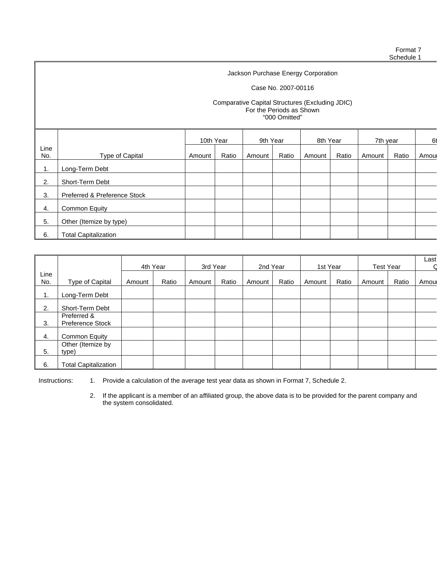#### Case No. 2007-00116

#### Comparative Capital Structures (Excluding JDIC) For the Periods as Shown "000 Omitted"

|             |                              | 10th Year |       | 9th Year |       | 8th Year |       | 7th year |       | 61    |
|-------------|------------------------------|-----------|-------|----------|-------|----------|-------|----------|-------|-------|
| Line<br>No. | Type of Capital              | Amount    | Ratio | Amount   | Ratio | Amount   | Ratio | Amount   | Ratio | Amoul |
| 1.          | Long-Term Debt               |           |       |          |       |          |       |          |       |       |
| 2.          | Short-Term Debt              |           |       |          |       |          |       |          |       |       |
| 3.          | Preferred & Preference Stock |           |       |          |       |          |       |          |       |       |
| 4.          | <b>Common Equity</b>         |           |       |          |       |          |       |          |       |       |
| 5.          | Other (Itemize by type)      |           |       |          |       |          |       |          |       |       |
| 6.          | <b>Total Capitalization</b>  |           |       |          |       |          |       |          |       |       |

|      |                             | 4th Year |       | 3rd Year |       | 2nd Year |       | 1st Year |       | <b>Test Year</b> |       | Last |
|------|-----------------------------|----------|-------|----------|-------|----------|-------|----------|-------|------------------|-------|------|
| Line |                             |          |       |          |       |          |       |          |       |                  |       |      |
| No.  | Type of Capital             | Amount   | Ratio | Amount   | Ratio | Amount   | Ratio | Amount   | Ratio | Amount           | Ratio | Amou |
| 1.   | Long-Term Debt              |          |       |          |       |          |       |          |       |                  |       |      |
| 2.   | Short-Term Debt             |          |       |          |       |          |       |          |       |                  |       |      |
|      | Preferred &                 |          |       |          |       |          |       |          |       |                  |       |      |
| 3.   | <b>Preference Stock</b>     |          |       |          |       |          |       |          |       |                  |       |      |
| 4.   | <b>Common Equity</b>        |          |       |          |       |          |       |          |       |                  |       |      |
|      | Other (Itemize by           |          |       |          |       |          |       |          |       |                  |       |      |
| 5.   | type)                       |          |       |          |       |          |       |          |       |                  |       |      |
| 6.   | <b>Total Capitalization</b> |          |       |          |       |          |       |          |       |                  |       |      |

Instructions: 1. Provide a calculation of the average test year data as shown in Format 7, Schedule 2.

2. If the applicant is a member of an affiliated group, the above data is to be provided for the parent company and the system consolidated.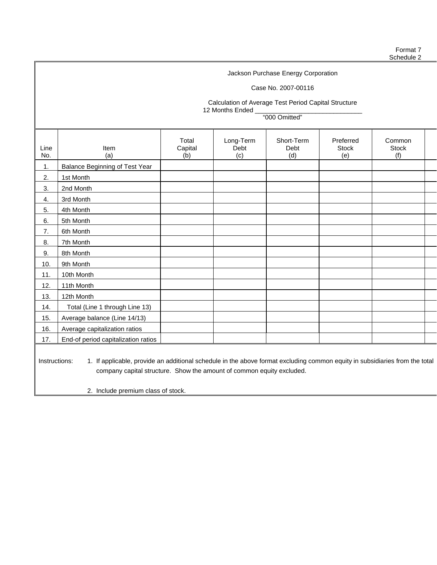## Case No. 2007-00116

Calculation of Average Test Period Capital Structure 12 Months Ended \_

"000 Omitted"

| Line<br>No.   | Item<br>(a)                                                                                                                 | Total<br>Capital<br>(b) | Long-Term<br>Debt<br>(c) | Short-Term<br>Debt<br>(d) | Preferred<br><b>Stock</b><br>(e) | Common<br><b>Stock</b><br>(f) |  |
|---------------|-----------------------------------------------------------------------------------------------------------------------------|-------------------------|--------------------------|---------------------------|----------------------------------|-------------------------------|--|
| 1.            | Balance Beginning of Test Year                                                                                              |                         |                          |                           |                                  |                               |  |
| 2.            | 1st Month                                                                                                                   |                         |                          |                           |                                  |                               |  |
| 3.            | 2nd Month                                                                                                                   |                         |                          |                           |                                  |                               |  |
| 4.            | 3rd Month                                                                                                                   |                         |                          |                           |                                  |                               |  |
| 5.            | 4th Month                                                                                                                   |                         |                          |                           |                                  |                               |  |
| 6.            | 5th Month                                                                                                                   |                         |                          |                           |                                  |                               |  |
| 7.            | 6th Month                                                                                                                   |                         |                          |                           |                                  |                               |  |
| 8.            | 7th Month                                                                                                                   |                         |                          |                           |                                  |                               |  |
| 9.            | 8th Month                                                                                                                   |                         |                          |                           |                                  |                               |  |
| 10.           | 9th Month                                                                                                                   |                         |                          |                           |                                  |                               |  |
| 11.           | 10th Month                                                                                                                  |                         |                          |                           |                                  |                               |  |
| 12.           | 11th Month                                                                                                                  |                         |                          |                           |                                  |                               |  |
| 13.           | 12th Month                                                                                                                  |                         |                          |                           |                                  |                               |  |
| 14.           | Total (Line 1 through Line 13)                                                                                              |                         |                          |                           |                                  |                               |  |
| 15.           | Average balance (Line 14/13)                                                                                                |                         |                          |                           |                                  |                               |  |
| 16.           | Average capitalization ratios                                                                                               |                         |                          |                           |                                  |                               |  |
| 17.           | End-of period capitalization ratios                                                                                         |                         |                          |                           |                                  |                               |  |
| Instructions: | 1. If applicable, provide an additional schedule in the above format excluding common equity in subsidiaries from the total |                         |                          |                           |                                  |                               |  |

company capital structure. Show the amount of common equity excluded.

2. Include premium class of stock.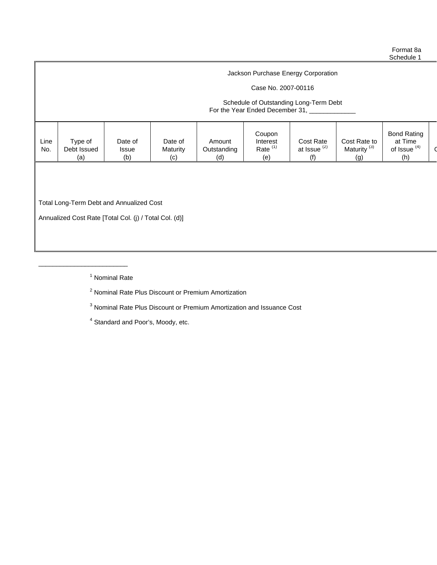## Case No. 2007-00116

### Schedule of Outstanding Long-Term Debt For the Year Ended December 31, \_\_\_\_\_\_\_

|--|

Total Long-Term Debt and Annualized Cost

\_\_\_\_\_\_\_\_\_\_\_\_\_\_\_\_\_\_\_\_\_\_\_\_\_

Annualized Cost Rate [Total Col. (j) / Total Col. (d)]

<sup>1</sup> Nominal Rate

<sup>2</sup> Nominal Rate Plus Discount or Premium Amortization

<sup>3</sup> Nominal Rate Plus Discount or Premium Amortization and Issuance Cost

<sup>4</sup> Standard and Poor's, Moody, etc.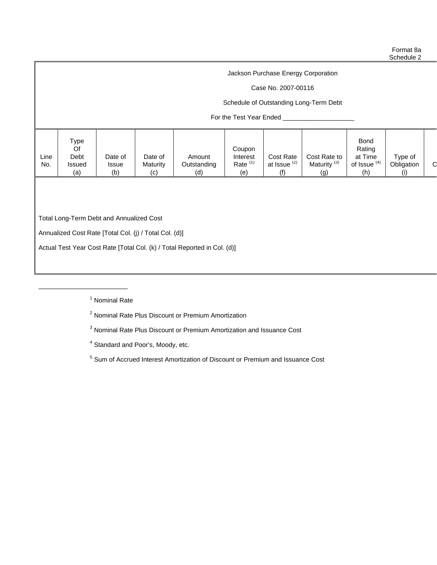## Case No. 2007-00116

## Schedule of Outstanding Long-Term Debt

## For the Test Year Ended \_\_\_\_\_\_\_

| Type<br><b>Bond</b><br>Rating<br>Of<br>Coupon<br>Cost Rate to<br>Debt<br>Line<br>Cost Rate<br>at Time<br>Type of<br>Date of<br>Date of<br>Amount<br>Interest<br>Rate <sup>(1)</sup><br>at Issue <sup>(2)</sup><br>Maturity <sup>(3)</sup><br>of Issue <sup>(4)</sup><br>U<br>Obligation<br>No.<br>Outstanding<br>Maturity<br>Issued<br><b>Issue</b><br>(b)<br>(h)<br>(a)<br>(d)<br>(g)<br>(e)<br>(c) |
|------------------------------------------------------------------------------------------------------------------------------------------------------------------------------------------------------------------------------------------------------------------------------------------------------------------------------------------------------------------------------------------------------|

Total Long-Term Debt and Annualized Cost

\_\_\_\_\_\_\_\_\_\_\_\_\_\_\_\_\_\_\_\_\_\_\_\_\_

Annualized Cost Rate [Total Col. (j) / Total Col. (d)]

Actual Test Year Cost Rate [Total Col. (k) / Total Reported in Col. (d)]

<sup>1</sup> Nominal Rate

<sup>2</sup> Nominal Rate Plus Discount or Premium Amortization

<sup>3</sup> Nominal Rate Plus Discount or Premium Amortization and Issuance Cost

<sup>4</sup> Standard and Poor's, Moody, etc.

<sup>5</sup> Sum of Accrued Interest Amortization of Discount or Premium and Issuance Cost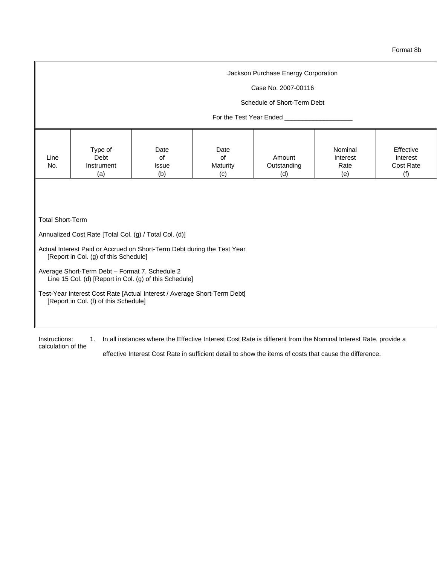#### Case No. 2007-00116

#### Schedule of Short-Term Debt

## For the Test Year Ended \_\_\_\_

|--|

Total Short-Term

Annualized Cost Rate [Total Col. (g) / Total Col. (d)]

- Actual Interest Paid or Accrued on Short-Term Debt during the Test Year [Report in Col. (g) of this Schedule]
- Average Short-Term Debt Format 7, Schedule 2 Line 15 Col. (d) [Report in Col. (g) of this Schedule]
- Test-Year Interest Cost Rate [Actual Interest / Average Short-Term Debt] [Report in Col. (f) of this Schedule]

Instructions: 1. In all instances where the Effective Interest Cost Rate is different from the Nominal Interest Rate, provide a calculation of the

effective Interest Cost Rate in sufficient detail to show the items of costs that cause the difference.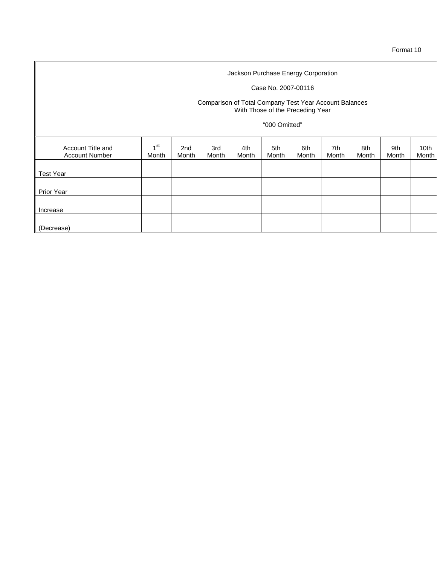## Case No. 2007-00116

#### Comparison of Total Company Test Year Account Balances With Those of the Preceding Year

## "000 Omitted"

| Account Title and<br><b>Account Number</b> | 4 <sup>st</sup><br>Month | 2nd<br>Month | 3rd<br>Month | 4th<br>Month | 5th<br>Month | 6th<br>Month | 7th<br>Month | 8th<br>Month | 9th<br>Month | 10th<br>Month |
|--------------------------------------------|--------------------------|--------------|--------------|--------------|--------------|--------------|--------------|--------------|--------------|---------------|
| <b>Test Year</b>                           |                          |              |              |              |              |              |              |              |              |               |
| Prior Year                                 |                          |              |              |              |              |              |              |              |              |               |
| Increase                                   |                          |              |              |              |              |              |              |              |              |               |
| (Decrease)                                 |                          |              |              |              |              |              |              |              |              |               |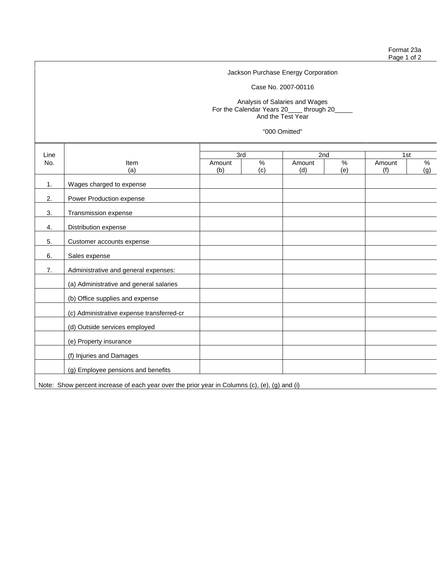Case No. 2007-00116

Analysis of Salaries and Wages For the Calendar Years 20\_\_\_\_ through 20\_\_\_\_\_ And the Test Year

"000 Omitted"

| Line |                                                                                               | 3rd    |      | 2nd    |     | 1st    |     |
|------|-----------------------------------------------------------------------------------------------|--------|------|--------|-----|--------|-----|
| No.  | <b>Item</b>                                                                                   | Amount | $\%$ | Amount | %   | Amount | %   |
|      | (a)                                                                                           | (b)    | (c)  | (d)    | (e) | (f)    | (g) |
| 1.   | Wages charged to expense                                                                      |        |      |        |     |        |     |
| 2.   | Power Production expense                                                                      |        |      |        |     |        |     |
| 3.   | Transmission expense                                                                          |        |      |        |     |        |     |
| 4.   | Distribution expense                                                                          |        |      |        |     |        |     |
| 5.   | Customer accounts expense                                                                     |        |      |        |     |        |     |
| 6.   | Sales expense                                                                                 |        |      |        |     |        |     |
| 7.   | Administrative and general expenses:                                                          |        |      |        |     |        |     |
|      | (a) Administrative and general salaries                                                       |        |      |        |     |        |     |
|      | (b) Office supplies and expense                                                               |        |      |        |     |        |     |
|      | (c) Administrative expense transferred-cr                                                     |        |      |        |     |        |     |
|      | (d) Outside services employed                                                                 |        |      |        |     |        |     |
|      | (e) Property insurance                                                                        |        |      |        |     |        |     |
|      | (f) Injuries and Damages                                                                      |        |      |        |     |        |     |
|      | (g) Employee pensions and benefits                                                            |        |      |        |     |        |     |
|      | Note: Show percent increase of each year over the prior year in Columns (c), (e), (g) and (i) |        |      |        |     |        |     |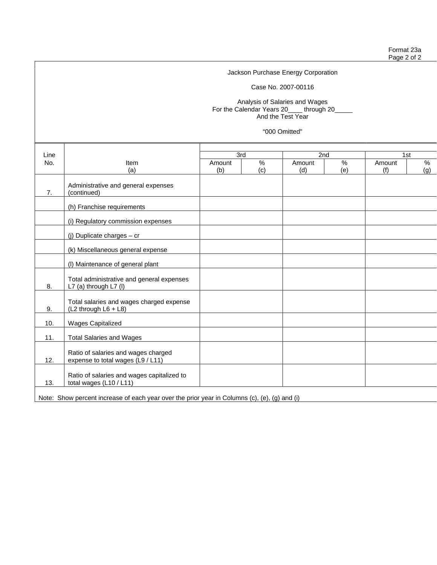Case No. 2007-00116

Analysis of Salaries and Wages For the Calendar Years 20\_\_\_\_ through 20\_\_\_\_\_ And the Test Year

"000 Omitted"

| Line |                                                                                               | 3rd    |     | 2nd    |      | 1st    |     |  |
|------|-----------------------------------------------------------------------------------------------|--------|-----|--------|------|--------|-----|--|
| No.  | Item                                                                                          | Amount | %   | Amount | $\%$ | Amount | %   |  |
|      | (a)                                                                                           | (b)    | (c) | (d)    | (e)  | (f)    | (g) |  |
| 7.   | Administrative and general expenses<br>(continued)                                            |        |     |        |      |        |     |  |
|      | (h) Franchise requirements                                                                    |        |     |        |      |        |     |  |
|      | (i) Regulatory commission expenses                                                            |        |     |        |      |        |     |  |
|      | (j) Duplicate charges $-$ cr                                                                  |        |     |        |      |        |     |  |
|      | (k) Miscellaneous general expense                                                             |        |     |        |      |        |     |  |
|      | (I) Maintenance of general plant                                                              |        |     |        |      |        |     |  |
| 8.   | Total administrative and general expenses<br>L7 (a) through L7 (I)                            |        |     |        |      |        |     |  |
| 9.   | Total salaries and wages charged expense<br>(L2 through L6 + L8)                              |        |     |        |      |        |     |  |
| 10.  | <b>Wages Capitalized</b>                                                                      |        |     |        |      |        |     |  |
| 11.  | <b>Total Salaries and Wages</b>                                                               |        |     |        |      |        |     |  |
| 12.  | Ratio of salaries and wages charged<br>expense to total wages (L9 / L11)                      |        |     |        |      |        |     |  |
| 13.  | Ratio of salaries and wages capitalized to<br>total wages (L10 / L11)                         |        |     |        |      |        |     |  |
|      | Note: Show percent increase of each year over the prior year in Columns (c), (e), (g) and (i) |        |     |        |      |        |     |  |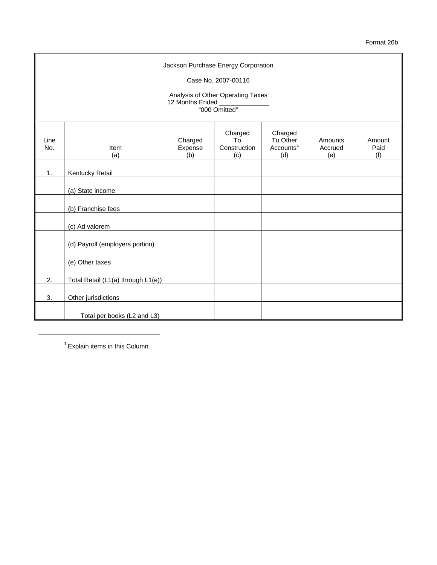Format 26b

|             | Jackson Purchase Energy Corporation<br>Case No. 2007-00116<br>Analysis of Other Operating Taxes<br>12 Months Ended ____________<br>"000 Omitted" |                           |                                      |                                                     |                           |                       |  |  |  |  |
|-------------|--------------------------------------------------------------------------------------------------------------------------------------------------|---------------------------|--------------------------------------|-----------------------------------------------------|---------------------------|-----------------------|--|--|--|--|
| Line<br>No. | Item<br>(a)                                                                                                                                      | Charged<br>Expense<br>(b) | Charged<br>To<br>Construction<br>(c) | Charged<br>To Other<br>Accounts <sup>1</sup><br>(d) | Amounts<br>Accrued<br>(e) | Amount<br>Paid<br>(f) |  |  |  |  |
| 1.          | Kentucky Retail                                                                                                                                  |                           |                                      |                                                     |                           |                       |  |  |  |  |
|             | (a) State income                                                                                                                                 |                           |                                      |                                                     |                           |                       |  |  |  |  |
|             | (b) Franchise fees                                                                                                                               |                           |                                      |                                                     |                           |                       |  |  |  |  |
|             | (c) Ad valorem                                                                                                                                   |                           |                                      |                                                     |                           |                       |  |  |  |  |
|             | (d) Payroll (employers portion)                                                                                                                  |                           |                                      |                                                     |                           |                       |  |  |  |  |
|             | (e) Other taxes                                                                                                                                  |                           |                                      |                                                     |                           |                       |  |  |  |  |
| 2.          | Total Retail (L1(a) through L1(e))                                                                                                               |                           |                                      |                                                     |                           |                       |  |  |  |  |
| 3.          | Other jurisdictions                                                                                                                              |                           |                                      |                                                     |                           |                       |  |  |  |  |
|             | Total per books (L2 and L3)                                                                                                                      |                           |                                      |                                                     |                           |                       |  |  |  |  |

 $1$  Explain items in this Column.

\_\_\_\_\_\_\_\_\_\_\_\_\_\_\_\_\_\_\_\_\_\_\_\_\_\_\_\_\_\_\_\_\_\_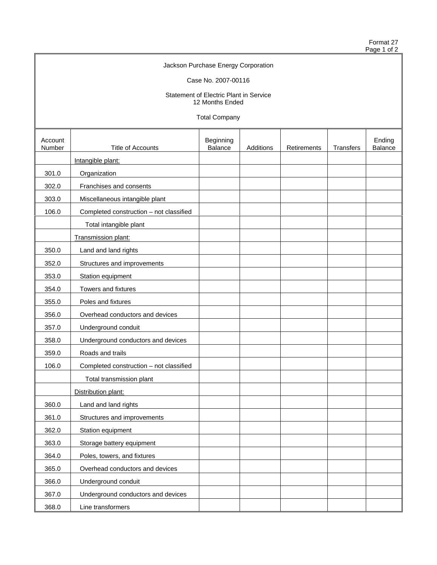Format 27  $\circ$  of 2

|                   |                                         |                                        |           |             |           | Format Z<br>Page 1 of: |
|-------------------|-----------------------------------------|----------------------------------------|-----------|-------------|-----------|------------------------|
|                   |                                         | Jackson Purchase Energy Corporation    |           |             |           |                        |
|                   |                                         | Case No. 2007-00116                    |           |             |           |                        |
|                   |                                         | Statement of Electric Plant in Service |           |             |           |                        |
|                   |                                         | 12 Months Ended                        |           |             |           |                        |
|                   |                                         | <b>Total Company</b>                   |           |             |           |                        |
| Account<br>Number | Title of Accounts                       | Beginning<br><b>Balance</b>            | Additions | Retirements | Transfers | Ending<br>Balance      |
|                   | Intangible plant:                       |                                        |           |             |           |                        |
| 301.0             | Organization                            |                                        |           |             |           |                        |
| 302.0             | Franchises and consents                 |                                        |           |             |           |                        |
| 303.0             | Miscellaneous intangible plant          |                                        |           |             |           |                        |
| 106.0             | Completed construction - not classified |                                        |           |             |           |                        |
|                   | Total intangible plant                  |                                        |           |             |           |                        |
|                   | Transmission plant:                     |                                        |           |             |           |                        |
| 350.0             | Land and land rights                    |                                        |           |             |           |                        |
| 352.0             | Structures and improvements             |                                        |           |             |           |                        |
| 353.0             | Station equipment                       |                                        |           |             |           |                        |
| 354.0             | Towers and fixtures                     |                                        |           |             |           |                        |
| 355.0             | Poles and fixtures                      |                                        |           |             |           |                        |
| 356.0             | Overhead conductors and devices         |                                        |           |             |           |                        |
| 357.0             | Underground conduit                     |                                        |           |             |           |                        |
| 358.0             | Underground conductors and devices      |                                        |           |             |           |                        |
| 359.0             | Roads and trails                        |                                        |           |             |           |                        |
| 106.0             | Completed construction - not classified |                                        |           |             |           |                        |

Total transmission plant

Distribution plant:

361.0 Structures and improvements

363.0 | Storage battery equipment 364.0 Poles, towers, and fixtures

365.0 Overhead conductors and devices

367.0 Underground conductors and devices

360.0 Land and land rights

362.0 Station equipment

366.0 Underground conduit

368.0 Line transformers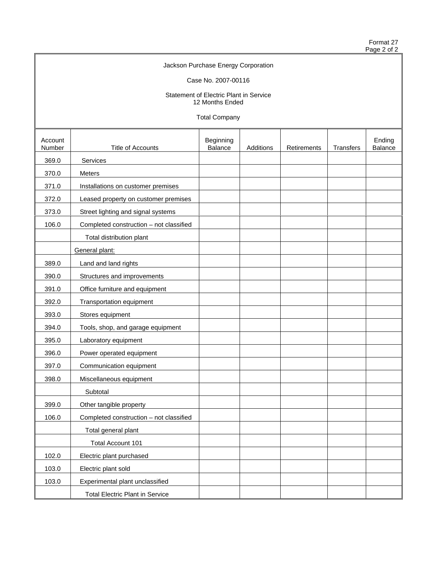Format 27 Page 2 of 2

| Jackson Purchase Energy Corporation                       |  |
|-----------------------------------------------------------|--|
| Case No. 2007-00116                                       |  |
| Statement of Electric Plant in Service<br>12 Months Ended |  |

Total Company

| Account<br>Number | <b>Title of Accounts</b>                | Beginning<br>Balance | Additions | <b>Retirements</b> | Transfers | Ending<br>Balance |
|-------------------|-----------------------------------------|----------------------|-----------|--------------------|-----------|-------------------|
| 369.0             | Services                                |                      |           |                    |           |                   |
| 370.0             | Meters                                  |                      |           |                    |           |                   |
| 371.0             | Installations on customer premises      |                      |           |                    |           |                   |
| 372.0             | Leased property on customer premises    |                      |           |                    |           |                   |
| 373.0             | Street lighting and signal systems      |                      |           |                    |           |                   |
| 106.0             | Completed construction - not classified |                      |           |                    |           |                   |
|                   | Total distribution plant                |                      |           |                    |           |                   |
|                   | General plant:                          |                      |           |                    |           |                   |
| 389.0             | Land and land rights                    |                      |           |                    |           |                   |
| 390.0             | Structures and improvements             |                      |           |                    |           |                   |
| 391.0             | Office furniture and equipment          |                      |           |                    |           |                   |
| 392.0             | Transportation equipment                |                      |           |                    |           |                   |
| 393.0             | Stores equipment                        |                      |           |                    |           |                   |
| 394.0             | Tools, shop, and garage equipment       |                      |           |                    |           |                   |
| 395.0             | Laboratory equipment                    |                      |           |                    |           |                   |
| 396.0             | Power operated equipment                |                      |           |                    |           |                   |
| 397.0             | Communication equipment                 |                      |           |                    |           |                   |
| 398.0             | Miscellaneous equipment                 |                      |           |                    |           |                   |
|                   | Subtotal                                |                      |           |                    |           |                   |
| 399.0             | Other tangible property                 |                      |           |                    |           |                   |
| 106.0             | Completed construction - not classified |                      |           |                    |           |                   |
|                   | Total general plant                     |                      |           |                    |           |                   |
|                   | Total Account 101                       |                      |           |                    |           |                   |
| 102.0             | Electric plant purchased                |                      |           |                    |           |                   |
| 103.0             | Electric plant sold                     |                      |           |                    |           |                   |
| 103.0             | Experimental plant unclassified         |                      |           |                    |           |                   |
|                   | <b>Total Electric Plant in Service</b>  |                      |           |                    |           |                   |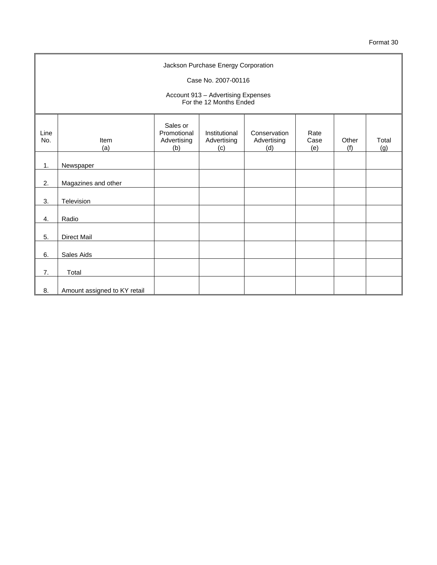|             | Jackson Purchase Energy Corporation                           |                                               |                                     |                                    |                     |              |              |  |
|-------------|---------------------------------------------------------------|-----------------------------------------------|-------------------------------------|------------------------------------|---------------------|--------------|--------------|--|
|             |                                                               |                                               | Case No. 2007-00116                 |                                    |                     |              |              |  |
|             | Account 913 - Advertising Expenses<br>For the 12 Months Ended |                                               |                                     |                                    |                     |              |              |  |
| Line<br>No. | Item<br>(a)                                                   | Sales or<br>Promotional<br>Advertising<br>(b) | Institutional<br>Advertising<br>(c) | Conservation<br>Advertising<br>(d) | Rate<br>Case<br>(e) | Other<br>(f) | Total<br>(g) |  |
| 1.          | Newspaper                                                     |                                               |                                     |                                    |                     |              |              |  |
| 2.          | Magazines and other                                           |                                               |                                     |                                    |                     |              |              |  |
| 3.          | Television                                                    |                                               |                                     |                                    |                     |              |              |  |
| 4.          | Radio                                                         |                                               |                                     |                                    |                     |              |              |  |
| 5.          | <b>Direct Mail</b>                                            |                                               |                                     |                                    |                     |              |              |  |
| 6.          | Sales Aids                                                    |                                               |                                     |                                    |                     |              |              |  |
| 7.          | Total                                                         |                                               |                                     |                                    |                     |              |              |  |
| 8.          | Amount assigned to KY retail                                  |                                               |                                     |                                    |                     |              |              |  |

 $\blacksquare$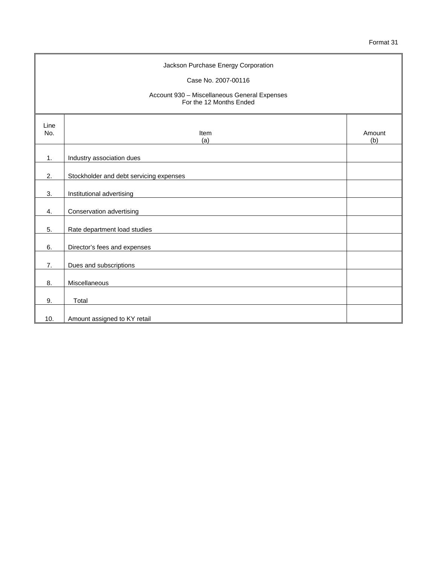| Jackson Purchase Energy Corporation<br>Case No. 2007-00116<br>Account 930 - Miscellaneous General Expenses<br>For the 12 Months Ended |                                         |               |  |
|---------------------------------------------------------------------------------------------------------------------------------------|-----------------------------------------|---------------|--|
| Line<br>No.                                                                                                                           | Item<br>(a)                             | Amount<br>(b) |  |
| 1.                                                                                                                                    | Industry association dues               |               |  |
| 2.                                                                                                                                    | Stockholder and debt servicing expenses |               |  |
| 3.                                                                                                                                    | Institutional advertising               |               |  |
| 4.                                                                                                                                    | Conservation advertising                |               |  |
| 5.                                                                                                                                    | Rate department load studies            |               |  |
| 6.                                                                                                                                    | Director's fees and expenses            |               |  |
| 7.                                                                                                                                    | Dues and subscriptions                  |               |  |
| 8.                                                                                                                                    | Miscellaneous                           |               |  |
| 9.                                                                                                                                    | Total                                   |               |  |
| 10.                                                                                                                                   | Amount assigned to KY retail            |               |  |

 $\blacksquare$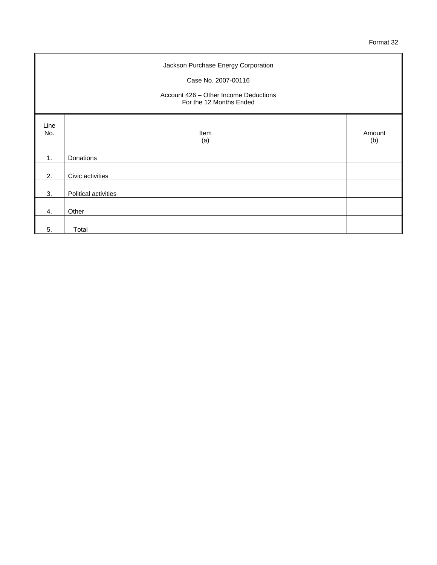| Jackson Purchase Energy Corporation<br>Case No. 2007-00116<br>Account 426 - Other Income Deductions<br>For the 12 Months Ended |                      |               |  |  |
|--------------------------------------------------------------------------------------------------------------------------------|----------------------|---------------|--|--|
| Line<br>No.                                                                                                                    | Item<br>(a)          | Amount<br>(b) |  |  |
| 1.                                                                                                                             | Donations            |               |  |  |
| 2.                                                                                                                             | Civic activities     |               |  |  |
| 3.                                                                                                                             | Political activities |               |  |  |
| 4.                                                                                                                             | Other                |               |  |  |
| 5.                                                                                                                             | Total                |               |  |  |

÷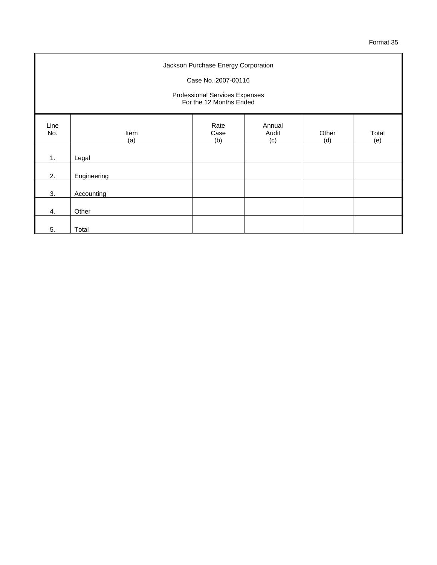| Jackson Purchase Energy Corporation<br>Case No. 2007-00116<br>Professional Services Expenses<br>For the 12 Months Ended |             |                     |                        |              |              |  |
|-------------------------------------------------------------------------------------------------------------------------|-------------|---------------------|------------------------|--------------|--------------|--|
| Line<br>No.                                                                                                             | Item<br>(a) | Rate<br>Case<br>(b) | Annual<br>Audit<br>(c) | Other<br>(d) | Total<br>(e) |  |
| 1.                                                                                                                      | Legal       |                     |                        |              |              |  |
| 2.                                                                                                                      | Engineering |                     |                        |              |              |  |
| 3.                                                                                                                      | Accounting  |                     |                        |              |              |  |
| 4.                                                                                                                      | Other       |                     |                        |              |              |  |
| 5.                                                                                                                      | Total       |                     |                        |              |              |  |

÷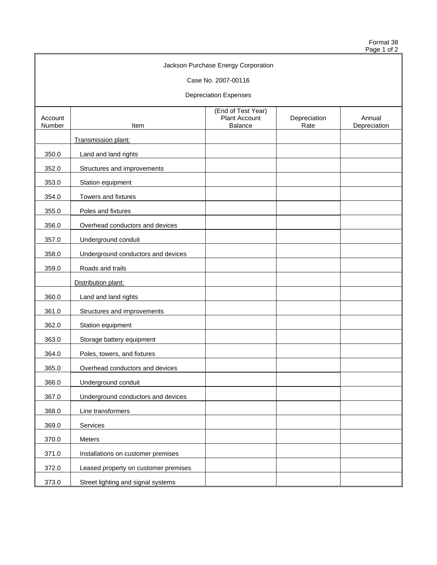Format 38 Page 1 of 2

|                   |                                      | Jackson Purchase Energy Corporation                          |                      |                        |
|-------------------|--------------------------------------|--------------------------------------------------------------|----------------------|------------------------|
|                   |                                      | Case No. 2007-00116                                          |                      |                        |
|                   |                                      | <b>Depreciation Expenses</b>                                 |                      |                        |
| Account<br>Number | Item                                 | (End of Test Year)<br><b>Plant Account</b><br><b>Balance</b> | Depreciation<br>Rate | Annual<br>Depreciation |
|                   | Transmission plant:                  |                                                              |                      |                        |
| 350.0             | Land and land rights                 |                                                              |                      |                        |
| 352.0             | Structures and improvements          |                                                              |                      |                        |
| 353.0             | Station equipment                    |                                                              |                      |                        |
| 354.0             | Towers and fixtures                  |                                                              |                      |                        |
| 355.0             | Poles and fixtures                   |                                                              |                      |                        |
| 356.0             | Overhead conductors and devices      |                                                              |                      |                        |
| 357.0             | Underground conduit                  |                                                              |                      |                        |
| 358.0             | Underground conductors and devices   |                                                              |                      |                        |
| 359.0             | Roads and trails                     |                                                              |                      |                        |
|                   | Distribution plant:                  |                                                              |                      |                        |
| 360.0             | Land and land rights                 |                                                              |                      |                        |
| 361.0             | Structures and improvements          |                                                              |                      |                        |
| 362.0             | Station equipment                    |                                                              |                      |                        |
| 363.0             | Storage battery equipment            |                                                              |                      |                        |
| 364.0             | Poles, towers, and fixtures          |                                                              |                      |                        |
| 365.0             | Overhead conductors and devices      |                                                              |                      |                        |
| 366.0             | Underground conduit                  |                                                              |                      |                        |
| 367.0             | Underground conductors and devices   |                                                              |                      |                        |
| 368.0             | Line transformers                    |                                                              |                      |                        |
| 369.0             | Services                             |                                                              |                      |                        |
| 370.0             | Meters                               |                                                              |                      |                        |
| 371.0             | Installations on customer premises   |                                                              |                      |                        |
| 372.0             | Leased property on customer premises |                                                              |                      |                        |
| 373.0             | Street lighting and signal systems   |                                                              |                      |                        |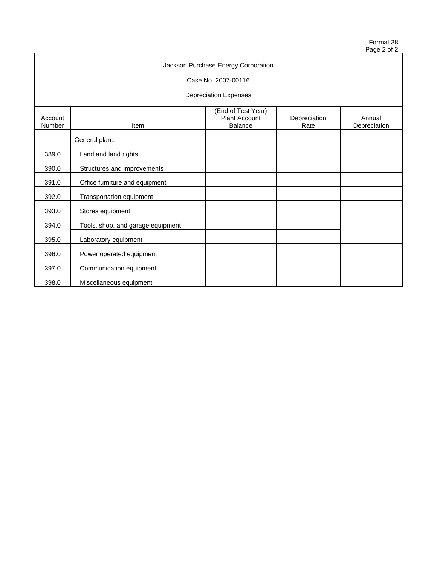Format 38 Page 2 of 2

| Jackson Purchase Energy Corporation |                                   |                                                              |                      |                        |  |
|-------------------------------------|-----------------------------------|--------------------------------------------------------------|----------------------|------------------------|--|
|                                     |                                   | Case No. 2007-00116                                          |                      |                        |  |
|                                     |                                   | <b>Depreciation Expenses</b>                                 |                      |                        |  |
| Account<br>Number                   | Item                              | (End of Test Year)<br><b>Plant Account</b><br><b>Balance</b> | Depreciation<br>Rate | Annual<br>Depreciation |  |
|                                     | General plant:                    |                                                              |                      |                        |  |
| 389.0                               | Land and land rights              |                                                              |                      |                        |  |
| 390.0                               | Structures and improvements       |                                                              |                      |                        |  |
| 391.0                               | Office furniture and equipment    |                                                              |                      |                        |  |
| 392.0                               | Transportation equipment          |                                                              |                      |                        |  |
| 393.0                               | Stores equipment                  |                                                              |                      |                        |  |
| 394.0                               | Tools, shop, and garage equipment |                                                              |                      |                        |  |
| 395.0                               | Laboratory equipment              |                                                              |                      |                        |  |
| 396.0                               | Power operated equipment          |                                                              |                      |                        |  |
| 397.0                               | Communication equipment           |                                                              |                      |                        |  |
| 398.0                               | Miscellaneous equipment           |                                                              |                      |                        |  |